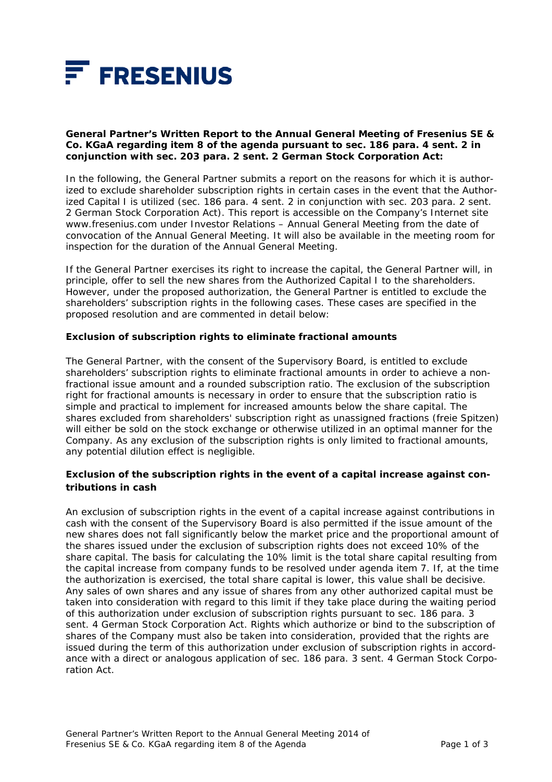

#### **General Partner's Written Report to the Annual General Meeting of Fresenius SE & Co. KGaA regarding item 8 of the agenda pursuant to sec. 186 para. 4 sent. 2 in conjunction with sec. 203 para. 2 sent. 2 German Stock Corporation Act:**

In the following, the General Partner submits a report on the reasons for which it is authorized to exclude shareholder subscription rights in certain cases in the event that the Authorized Capital I is utilized (sec. 186 para. 4 sent. 2 in conjunction with sec. 203 para. 2 sent. 2 German Stock Corporation Act). This report is accessible on the Company's Internet site www.fresenius.com under Investor Relations – Annual General Meeting from the date of convocation of the Annual General Meeting. It will also be available in the meeting room for inspection for the duration of the Annual General Meeting.

If the General Partner exercises its right to increase the capital, the General Partner will, in principle, offer to sell the new shares from the Authorized Capital I to the shareholders. However, under the proposed authorization, the General Partner is entitled to exclude the shareholders' subscription rights in the following cases. These cases are specified in the proposed resolution and are commented in detail below:

### *Exclusion of subscription rights to eliminate fractional amounts*

The General Partner, with the consent of the Supervisory Board, is entitled to exclude shareholders' subscription rights to eliminate fractional amounts in order to achieve a nonfractional issue amount and a rounded subscription ratio. The exclusion of the subscription right for fractional amounts is necessary in order to ensure that the subscription ratio is simple and practical to implement for increased amounts below the share capital. The shares excluded from shareholders' subscription right as unassigned fractions (*freie Spitzen*) will either be sold on the stock exchange or otherwise utilized in an optimal manner for the Company. As any exclusion of the subscription rights is only limited to fractional amounts, any potential dilution effect is negligible.

# *Exclusion of the subscription rights in the event of a capital increase against contributions in cash*

An exclusion of subscription rights in the event of a capital increase against contributions in cash with the consent of the Supervisory Board is also permitted if the issue amount of the new shares does not fall significantly below the market price and the proportional amount of the shares issued under the exclusion of subscription rights does not exceed 10% of the share capital. The basis for calculating the 10% limit is the total share capital resulting from the capital increase from company funds to be resolved under agenda item 7. If, at the time the authorization is exercised, the total share capital is lower, this value shall be decisive. Any sales of own shares and any issue of shares from any other authorized capital must be taken into consideration with regard to this limit if they take place during the waiting period of this authorization under exclusion of subscription rights pursuant to sec. 186 para. 3 sent. 4 German Stock Corporation Act. Rights which authorize or bind to the subscription of shares of the Company must also be taken into consideration, provided that the rights are issued during the term of this authorization under exclusion of subscription rights in accordance with a direct or analogous application of sec. 186 para. 3 sent. 4 German Stock Corporation Act.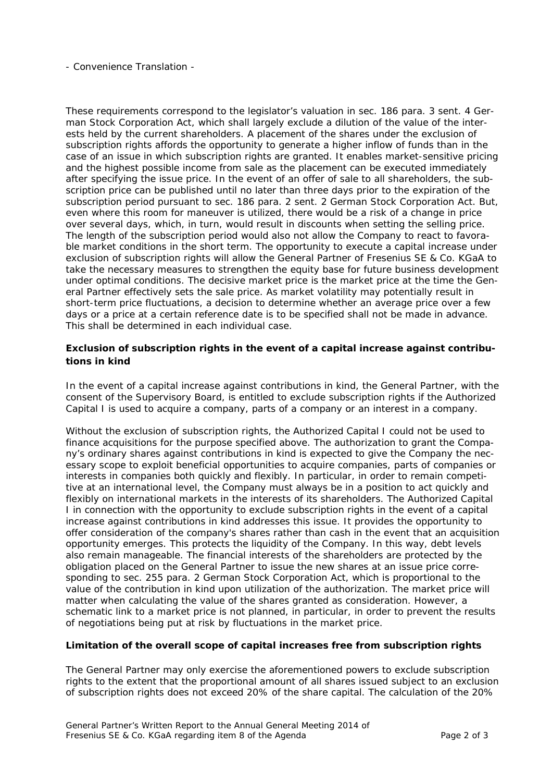#### - Convenience Translation -

These requirements correspond to the legislator's valuation in sec. 186 para. 3 sent. 4 German Stock Corporation Act, which shall largely exclude a dilution of the value of the interests held by the current shareholders. A placement of the shares under the exclusion of subscription rights affords the opportunity to generate a higher inflow of funds than in the case of an issue in which subscription rights are granted. It enables market-sensitive pricing and the highest possible income from sale as the placement can be executed immediately after specifying the issue price. In the event of an offer of sale to all shareholders, the subscription price can be published until no later than three days prior to the expiration of the subscription period pursuant to sec. 186 para. 2 sent. 2 German Stock Corporation Act. But, even where this room for maneuver is utilized, there would be a risk of a change in price over several days, which, in turn, would result in discounts when setting the selling price. The length of the subscription period would also not allow the Company to react to favorable market conditions in the short term. The opportunity to execute a capital increase under exclusion of subscription rights will allow the General Partner of Fresenius SE & Co. KGaA to take the necessary measures to strengthen the equity base for future business development under optimal conditions. The decisive market price is the market price at the time the General Partner effectively sets the sale price. As market volatility may potentially result in short-term price fluctuations, a decision to determine whether an average price over a few days or a price at a certain reference date is to be specified shall not be made in advance. This shall be determined in each individual case.

## *Exclusion of subscription rights in the event of a capital increase against contributions in kind*

In the event of a capital increase against contributions in kind, the General Partner, with the consent of the Supervisory Board, is entitled to exclude subscription rights if the Authorized Capital I is used to acquire a company, parts of a company or an interest in a company.

Without the exclusion of subscription rights, the Authorized Capital I could not be used to finance acquisitions for the purpose specified above. The authorization to grant the Company's ordinary shares against contributions in kind is expected to give the Company the necessary scope to exploit beneficial opportunities to acquire companies, parts of companies or interests in companies both quickly and flexibly. In particular, in order to remain competitive at an international level, the Company must always be in a position to act quickly and flexibly on international markets in the interests of its shareholders. The Authorized Capital I in connection with the opportunity to exclude subscription rights in the event of a capital increase against contributions in kind addresses this issue. It provides the opportunity to offer consideration of the company's shares rather than cash in the event that an acquisition opportunity emerges. This protects the liquidity of the Company. In this way, debt levels also remain manageable. The financial interests of the shareholders are protected by the obligation placed on the General Partner to issue the new shares at an issue price corresponding to sec. 255 para. 2 German Stock Corporation Act, which is proportional to the value of the contribution in kind upon utilization of the authorization. The market price will matter when calculating the value of the shares granted as consideration. However, a schematic link to a market price is not planned, in particular, in order to prevent the results of negotiations being put at risk by fluctuations in the market price.

#### *Limitation of the overall scope of capital increases free from subscription rights*

The General Partner may only exercise the aforementioned powers to exclude subscription rights to the extent that the proportional amount of all shares issued subject to an exclusion of subscription rights does not exceed 20% of the share capital. The calculation of the 20%